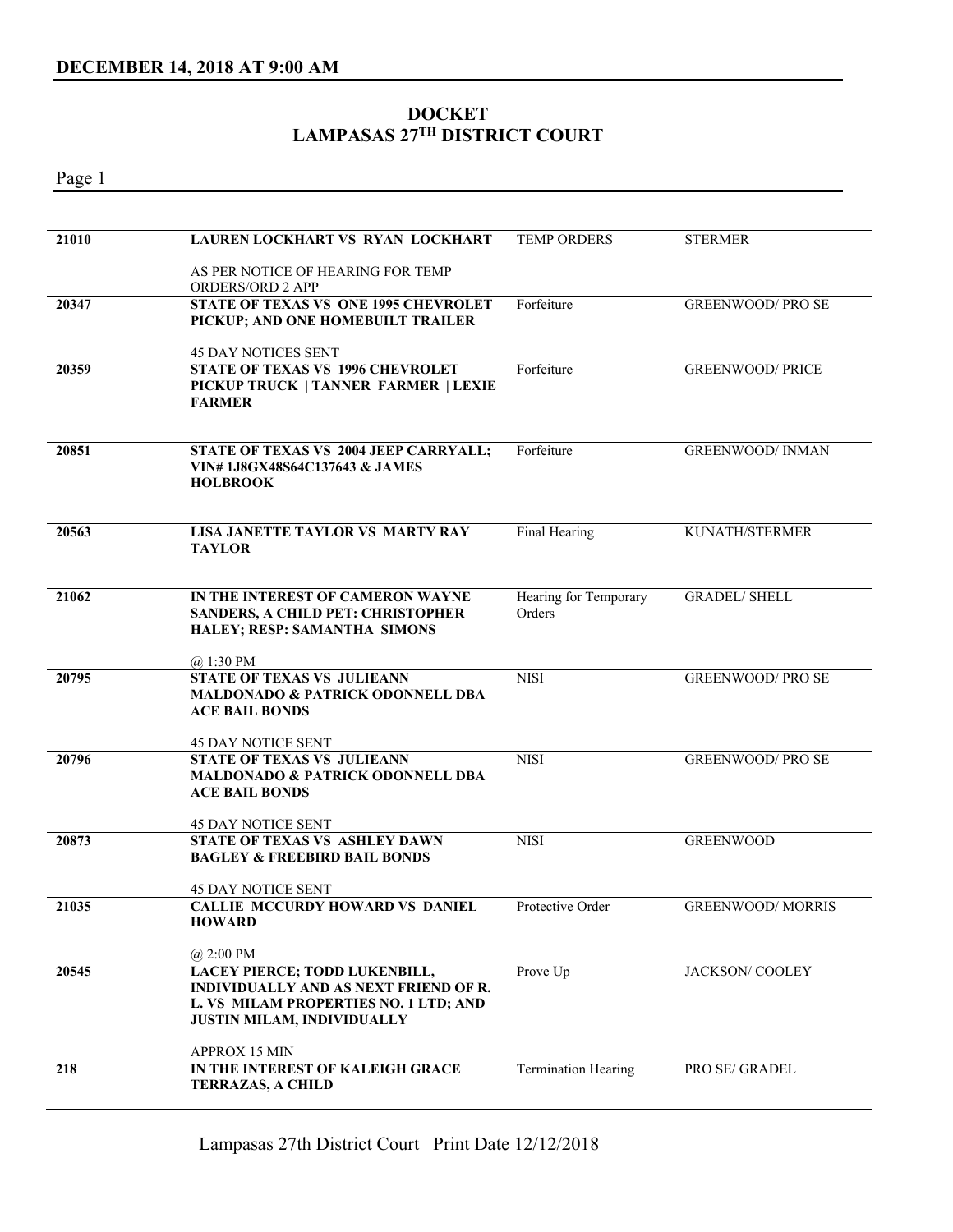## **DOCKET LAMPASAS 27TH DISTRICT COURT**

Page 1

| 21010 | LAUREN LOCKHART VS RYAN LOCKHART                                                                                                                                   | <b>TEMP ORDERS</b>              | <b>STERMER</b>           |
|-------|--------------------------------------------------------------------------------------------------------------------------------------------------------------------|---------------------------------|--------------------------|
|       | AS PER NOTICE OF HEARING FOR TEMP<br><b>ORDERS/ORD 2 APP</b>                                                                                                       |                                 |                          |
| 20347 | <b>STATE OF TEXAS VS ONE 1995 CHEVROLET</b><br>PICKUP; AND ONE HOMEBUILT TRAILER                                                                                   | Forfeiture                      | <b>GREENWOOD/ PRO SE</b> |
|       | 45 DAY NOTICES SENT                                                                                                                                                |                                 |                          |
| 20359 | <b>STATE OF TEXAS VS 1996 CHEVROLET</b><br>PICKUP TRUCK   TANNER FARMER   LEXIE<br><b>FARMER</b>                                                                   | Forfeiture                      | <b>GREENWOOD/ PRICE</b>  |
| 20851 | STATE OF TEXAS VS 2004 JEEP CARRYALL;<br>VIN#1J8GX48S64C137643 & JAMES<br><b>HOLBROOK</b>                                                                          | Forfeiture                      | <b>GREENWOOD/ INMAN</b>  |
| 20563 | LISA JANETTE TAYLOR VS MARTY RAY<br><b>TAYLOR</b>                                                                                                                  | Final Hearing                   | KUNATH/STERMER           |
| 21062 | IN THE INTEREST OF CAMERON WAYNE<br><b>SANDERS, A CHILD PET: CHRISTOPHER</b><br>HALEY; RESP: SAMANTHA SIMONS                                                       | Hearing for Temporary<br>Orders | <b>GRADEL/ SHELL</b>     |
|       | $@.1:30$ PM                                                                                                                                                        |                                 |                          |
| 20795 | <b>STATE OF TEXAS VS JULIEANN</b><br><b>MALDONADO &amp; PATRICK ODONNELL DBA</b><br><b>ACE BAIL BONDS</b>                                                          | <b>NISI</b>                     | <b>GREENWOOD/PROSE</b>   |
|       | <b>45 DAY NOTICE SENT</b>                                                                                                                                          |                                 |                          |
| 20796 | <b>STATE OF TEXAS VS JULIEANN</b><br><b>MALDONADO &amp; PATRICK ODONNELL DBA</b><br><b>ACE BAIL BONDS</b>                                                          | <b>NISI</b>                     | <b>GREENWOOD/PROSE</b>   |
|       | <b>45 DAY NOTICE SENT</b>                                                                                                                                          |                                 |                          |
| 20873 | <b>STATE OF TEXAS VS ASHLEY DAWN</b><br><b>BAGLEY &amp; FREEBIRD BAIL BONDS</b><br>45 DAY NOTICE SENT                                                              | <b>NISI</b>                     | <b>GREENWOOD</b>         |
| 21035 | CALLIE MCCURDY HOWARD VS DANIEL<br><b>HOWARD</b>                                                                                                                   | Protective Order                | <b>GREENWOOD/ MORRIS</b> |
|       | @ 2:00 PM                                                                                                                                                          |                                 |                          |
| 20545 | <b>LACEY PIERCE; TODD LUKENBILL,</b><br><b>INDIVIDUALLY AND AS NEXT FRIEND OF R.</b><br>L. VS MILAM PROPERTIES NO. 1 LTD; AND<br><b>JUSTIN MILAM, INDIVIDUALLY</b> | Prove Up                        | JACKSON/COOLEY           |
|       | <b>APPROX 15 MIN</b>                                                                                                                                               |                                 |                          |
| 218   | IN THE INTEREST OF KALEIGH GRACE<br><b>TERRAZAS, A CHILD</b>                                                                                                       | <b>Termination Hearing</b>      | PRO SE/ GRADEL           |